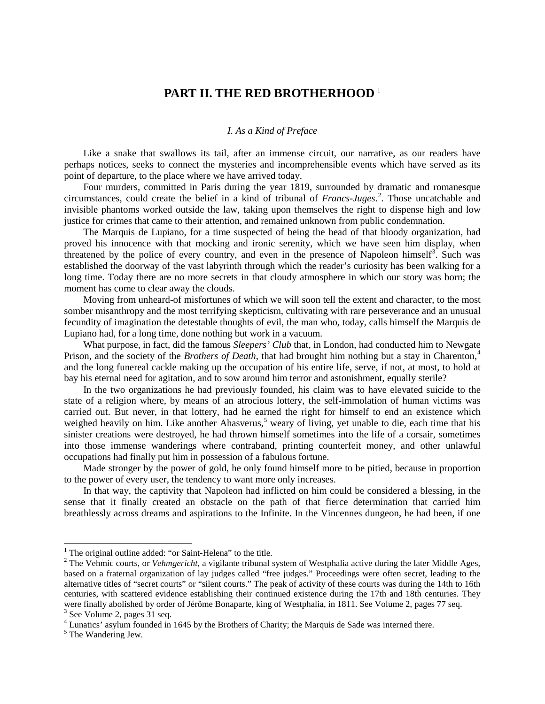## **PART II. THE RED BROTHERHOOD** [1](#page-0-0)

## *I. As a Kind of Preface*

Like a snake that swallows its tail, after an immense circuit, our narrative, as our readers have perhaps notices, seeks to connect the mysteries and incomprehensible events which have served as its point of departure, to the place where we have arrived today.

Four murders, committed in Paris during the year 1819, surrounded by dramatic and romanesque circumstances, could create the belief in a kind of tribunal of *Francs-Juges*. [2](#page-0-1) . Those uncatchable and invisible phantoms worked outside the law, taking upon themselves the right to dispense high and low justice for crimes that came to their attention, and remained unknown from public condemnation.

The Marquis de Lupiano, for a time suspected of being the head of that bloody organization, had proved his innocence with that mocking and ironic serenity, which we have seen him display, when threatened by the police of every country, and even in the presence of Napoleon himself<sup>[3](#page-0-2)</sup>. Such was established the doorway of the vast labyrinth through which the reader's curiosity has been walking for a long time. Today there are no more secrets in that cloudy atmosphere in which our story was born; the moment has come to clear away the clouds.

Moving from unheard-of misfortunes of which we will soon tell the extent and character, to the most somber misanthropy and the most terrifying skepticism, cultivating with rare perseverance and an unusual fecundity of imagination the detestable thoughts of evil, the man who, today, calls himself the Marquis de Lupiano had, for a long time, done nothing but work in a vacuum.

What purpose, in fact, did the famous *Sleepers' Club* that, in London, had conducted him to Newgate Prison, and the society of the *Brothers of Death*, that had brought him nothing but a stay in Charenton, [4](#page-0-3) and the long funereal cackle making up the occupation of his entire life, serve, if not, at most, to hold at bay his eternal need for agitation, and to sow around him terror and astonishment, equally sterile?

In the two organizations he had previously founded, his claim was to have elevated suicide to the state of a religion where, by means of an atrocious lottery, the self-immolation of human victims was carried out. But never, in that lottery, had he earned the right for himself to end an existence which weighed heavily on him. Like another Ahasverus,<sup>[5](#page-0-4)</sup> weary of living, yet unable to die, each time that his sinister creations were destroyed, he had thrown himself sometimes into the life of a corsair, sometimes into those immense wanderings where contraband, printing counterfeit money, and other unlawful occupations had finally put him in possession of a fabulous fortune.

Made stronger by the power of gold, he only found himself more to be pitied, because in proportion to the power of every user, the tendency to want more only increases.

In that way, the captivity that Napoleon had inflicted on him could be considered a blessing, in the sense that it finally created an obstacle on the path of that fierce determination that carried him breathlessly across dreams and aspirations to the Infinite. In the Vincennes dungeon, he had been, if one

<span id="page-0-1"></span><span id="page-0-0"></span><sup>&</sup>lt;sup>1</sup> The original outline added: "or Saint-Helena" to the title.<br><sup>2</sup> The Vehmic courts, or *Vehmgericht*, a vigilante tribunal system of Westphalia active during the later Middle Ages, based on a fraternal organization of lay judges called "free judges." Proceedings were often secret, leading to the alternative titles of "secret courts" or "silent courts." The peak of activity of these courts was during the 14th to 16th centuries, with scattered evidence establishing their continued existence during the 17th and 18th centuries. They were finally abolished by order of Jérôme Bonaparte, king of Westphalia, in 1811. See Volume 2, pages 77 seq. 3 See Volume 2, pages 31 seq.

<span id="page-0-4"></span><span id="page-0-3"></span><span id="page-0-2"></span> $<sup>4</sup>$  Lunatics' asylum founded in 1645 by the Brothers of Charity; the Marquis de Sade was interned there.  $<sup>5</sup>$  The Wandering Jew.</sup></sup>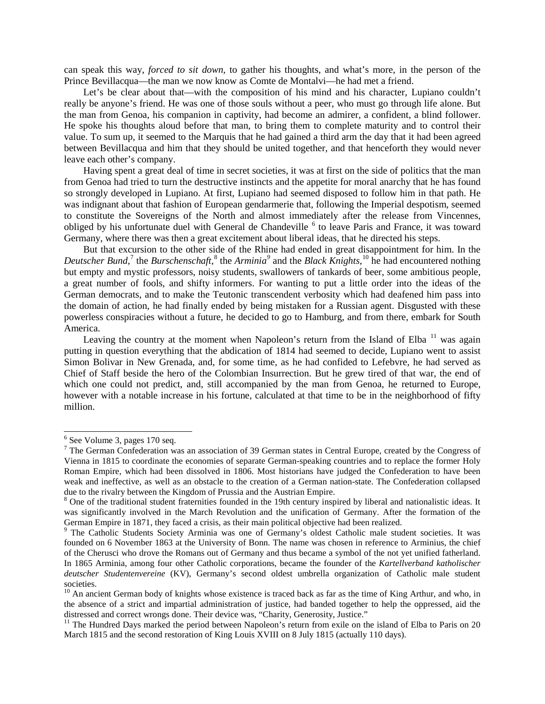can speak this way, *forced to sit down,* to gather his thoughts, and what's more, in the person of the Prince Bevillacqua—the man we now know as Comte de Montalvi—he had met a friend.

Let's be clear about that—with the composition of his mind and his character, Lupiano couldn't really be anyone's friend. He was one of those souls without a peer, who must go through life alone. But the man from Genoa, his companion in captivity, had become an admirer, a confident, a blind follower. He spoke his thoughts aloud before that man, to bring them to complete maturity and to control their value. To sum up, it seemed to the Marquis that he had gained a third arm the day that it had been agreed between Bevillacqua and him that they should be united together, and that henceforth they would never leave each other's company.

Having spent a great deal of time in secret societies, it was at first on the side of politics that the man from Genoa had tried to turn the destructive instincts and the appetite for moral anarchy that he has found so strongly developed in Lupiano. At first, Lupiano had seemed disposed to follow him in that path. He was indignant about that fashion of European gendarmerie that, following the Imperial despotism, seemed to constitute the Sovereigns of the North and almost immediately after the release from Vincennes, obliged by his unfortunate duel with General de Chandeville <sup>[6](#page-1-0)</sup> to leave Paris and France, it was toward Germany, where there was then a great excitement about liberal ideas, that he directed his steps.

But that excursion to the other side of the Rhine had ended in great disappointment for him. In the *Deutscher Bund*, [7](#page-1-1) the *Burschenschaft*, [8](#page-1-2) the *Arminia[9](#page-1-3)* and the *Black Knights*, [10](#page-1-4) he had encountered nothing but empty and mystic professors, noisy students, swallowers of tankards of beer, some ambitious people, a great number of fools, and shifty informers. For wanting to put a little order into the ideas of the German democrats, and to make the Teutonic transcendent verbosity which had deafened him pass into the domain of action, he had finally ended by being mistaken for a Russian agent. Disgusted with these powerless conspiracies without a future, he decided to go to Hamburg, and from there, embark for South America.

Leaving the country at the moment when Napoleon's return from the Island of Elba<sup>[11](#page-1-5)</sup> was again putting in question everything that the abdication of 1814 had seemed to decide, Lupiano went to assist Simon Bolivar in New Grenada, and, for some time, as he had confided to Lefebvre, he had served as Chief of Staff beside the hero of the Colombian Insurrection. But he grew tired of that war, the end of which one could not predict, and, still accompanied by the man from Genoa, he returned to Europe, however with a notable increase in his fortune, calculated at that time to be in the neighborhood of fifty million.

<span id="page-1-0"></span> $<sup>6</sup>$  See Volume 3, pages 170 seq.</sup>

<span id="page-1-1"></span><sup>7</sup> The German Confederation was an association of 39 German states in Central Europe, created by the Congress of Vienna in 1815 to coordinate the economies of separate German-speaking countries and to replace the former Holy Roman Empire, which had been dissolved in 1806. Most historians have judged the Confederation to have been weak and ineffective, as well as an obstacle to the creation of a German nation-state. The Confederation collapsed due to the rivalry between the Kingdom of Prussia and the Austrian Empire.

<span id="page-1-2"></span><sup>&</sup>lt;sup>8</sup> One of the traditional student fraternities founded in the 19th century inspired by liberal and nationalistic ideas. It was significantly involved in the March Revolution and the unification of Germany. After the formation of the German Empire in 1871, they faced a crisis, as their main political objective had been realized.<br><sup>9</sup> The Catholic Students Society Arminia was one of Germany's oldest Catholic male student societies. It was

<span id="page-1-3"></span>founded on 6 November 1863 at the University of Bonn. The name was chosen in reference to Arminius, the chief of the Cherusci who drove the Romans out of Germany and thus became a symbol of the not yet unified fatherland. In 1865 Arminia, among four other Catholic corporations, became the founder of the *Kartellverband katholischer deutscher Studentenvereine* (KV), Germany's second oldest umbrella organization of Catholic male student societies.

<span id="page-1-4"></span> $10$  An ancient German body of knights whose existence is traced back as far as the time of King Arthur, and who, in the absence of a strict and impartial administration of justice, had banded together to help the oppressed, aid the distressed and correct wrongs done. Their device was, "Charity, Generosity, Justice."

<span id="page-1-5"></span><sup>&</sup>lt;sup>11</sup> The Hundred Days marked the period between Napoleon's return from exile on the island of Elba to Paris on 20 March 1815 and the second restoration of King Louis XVIII on 8 July 1815 (actually 110 days).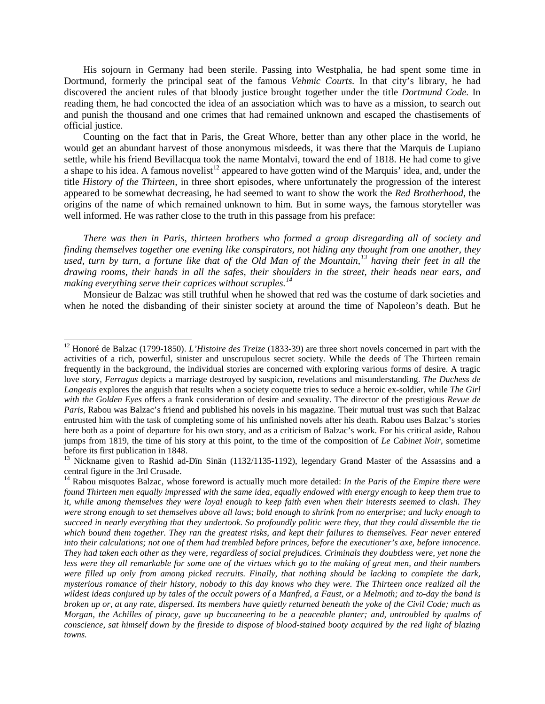His sojourn in Germany had been sterile. Passing into Westphalia, he had spent some time in Dortmund, formerly the principal seat of the famous *Vehmic Courts.* In that city's library, he had discovered the ancient rules of that bloody justice brought together under the title *Dortmund Code.* In reading them, he had concocted the idea of an association which was to have as a mission, to search out and punish the thousand and one crimes that had remained unknown and escaped the chastisements of official justice.

Counting on the fact that in Paris, the Great Whore, better than any other place in the world, he would get an abundant harvest of those anonymous misdeeds, it was there that the Marquis de Lupiano settle, while his friend Bevillacqua took the name Montalvi, toward the end of 1818. He had come to give a shape to his idea. A famous novelist<sup>[12](#page-2-0)</sup> appeared to have gotten wind of the Marquis' idea, and, under the title *History of the Thirteen,* in three short episodes, where unfortunately the progression of the interest appeared to be somewhat decreasing, he had seemed to want to show the work the *Red Brotherhood*, the origins of the name of which remained unknown to him. But in some ways, the famous storyteller was well informed. He was rather close to the truth in this passage from his preface:

*There was then in Paris, thirteen brothers who formed a group disregarding all of society and finding themselves together one evening like conspirators, not hiding any thought from one another, they used, turn by turn, a fortune like that of the Old Man of the Mountain,[13](#page-2-1) having their feet in all the drawing rooms, their hands in all the safes, their shoulders in the street, their heads near ears, and making everything serve their caprices without scruples.[14](#page-2-2)*

Monsieur de Balzac was still truthful when he showed that red was the costume of dark societies and when he noted the disbanding of their sinister society at around the time of Napoleon's death. But he

<span id="page-2-0"></span><sup>&</sup>lt;sup>12</sup> Honoré de Balzac (1799-1850). *L'Histoire des Treize* (1833-39) are three short novels concerned in part with the activities of a rich, powerful, sinister and unscrupulous secret society. While the deeds of The Thirteen remain frequently in the background, the individual stories are concerned with exploring various forms of desire. A tragic love story, *Ferragus* depicts a marriage destroyed by suspicion, revelations and misunderstanding. *The Duchess de Langeais* explores the anguish that results when a society coquette tries to seduce a heroic ex-soldier, while *The Girl with the Golden Eyes* offers a frank consideration of desire and sexuality. The director of the prestigious *Revue de Paris*, Rabou was Balzac's friend and published his novels in his magazine. Their mutual trust was such that Balzac entrusted him with the task of completing some of his unfinished novels after his death. Rabou uses Balzac's stories here both as a point of departure for his own story, and as a criticism of Balzac's work. For his critical aside, Rabou jumps from 1819, the time of his story at this point, to the time of the composition of *Le Cabinet Noir*, sometime before its first publication in 1848.<br><sup>13</sup> Nickname given to Rashid ad-Dïn Sinän (1132/1135-1192), legendary Grand Master of the Assassins and a

<span id="page-2-1"></span>central figure in the 3rd Crusade.<br><sup>14</sup> Rabou misquotes Balzac, whose foreword is actually much more detailed: *In the Paris of the Empire there were* 

<span id="page-2-2"></span>*found Thirteen men equally impressed with the same idea, equally endowed with energy enough to keep them true to it, while among themselves they were loyal enough to keep faith even when their interests seemed to clash. They were strong enough to set themselves above all laws; bold enough to shrink from no enterprise; and lucky enough to succeed in nearly everything that they undertook. So profoundly politic were they, that they could dissemble the tie which bound them together. They ran the greatest risks, and kept their failures to themselves. Fear never entered into their calculations; not one of them had trembled before princes, before the executioner's axe, before innocence. They had taken each other as they were, regardless of social prejudices. Criminals they doubtless were, yet none the less were they all remarkable for some one of the virtues which go to the making of great men, and their numbers were filled up only from among picked recruits. Finally, that nothing should be lacking to complete the dark, mysterious romance of their history, nobody to this day knows who they were. The Thirteen once realized all the wildest ideas conjured up by tales of the occult powers of a Manfred, a Faust, or a Melmoth; and to-day the band is broken up or, at any rate, dispersed. Its members have quietly returned beneath the yoke of the Civil Code; much as Morgan, the Achilles of piracy, gave up buccaneering to be a peaceable planter; and, untroubled by qualms of conscience, sat himself down by the fireside to dispose of blood-stained booty acquired by the red light of blazing towns.*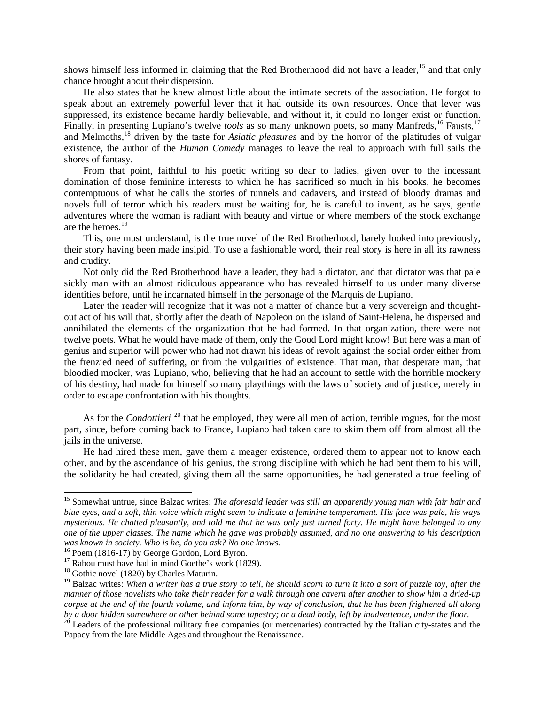shows himself less informed in claiming that the Red Brotherhood did not have a leader, <sup>[15](#page-3-0)</sup> and that only chance brought about their dispersion.

He also states that he knew almost little about the intimate secrets of the association. He forgot to speak about an extremely powerful lever that it had outside its own resources. Once that lever was suppressed, its existence became hardly believable, and without it, it could no longer exist or function. Finally, in presenting Lupiano's twelve *tools* as so many unknown poets, so many Manfreds, <sup>[16](#page-3-1)</sup> Fausts, <sup>[17](#page-3-2)</sup> and Melmoths,<sup>[18](#page-3-3)</sup> driven by the taste for *Asiatic pleasures* and by the horror of the platitudes of vulgar existence, the author of the *Human Comedy* manages to leave the real to approach with full sails the shores of fantasy.

From that point, faithful to his poetic writing so dear to ladies, given over to the incessant domination of those feminine interests to which he has sacrificed so much in his books, he becomes contemptuous of what he calls the stories of tunnels and cadavers, and instead of bloody dramas and novels full of terror which his readers must be waiting for, he is careful to invent, as he says, gentle adventures where the woman is radiant with beauty and virtue or where members of the stock exchange are the heroes. [19](#page-3-4)

This, one must understand, is the true novel of the Red Brotherhood, barely looked into previously, their story having been made insipid. To use a fashionable word, their real story is here in all its rawness and crudity.

Not only did the Red Brotherhood have a leader, they had a dictator, and that dictator was that pale sickly man with an almost ridiculous appearance who has revealed himself to us under many diverse identities before, until he incarnated himself in the personage of the Marquis de Lupiano.

Later the reader will recognize that it was not a matter of chance but a very sovereign and thoughtout act of his will that, shortly after the death of Napoleon on the island of Saint-Helena, he dispersed and annihilated the elements of the organization that he had formed. In that organization, there were not twelve poets. What he would have made of them, only the Good Lord might know! But here was a man of genius and superior will power who had not drawn his ideas of revolt against the social order either from the frenzied need of suffering, or from the vulgarities of existence. That man, that desperate man, that bloodied mocker, was Lupiano, who, believing that he had an account to settle with the horrible mockery of his destiny, had made for himself so many playthings with the laws of society and of justice, merely in order to escape confrontation with his thoughts.

As for the *Condottieri* <sup>[20](#page-3-5)</sup> that he employed, they were all men of action, terrible rogues, for the most part, since, before coming back to France, Lupiano had taken care to skim them off from almost all the jails in the universe.

He had hired these men, gave them a meager existence, ordered them to appear not to know each other, and by the ascendance of his genius, the strong discipline with which he had bent them to his will, the solidarity he had created, giving them all the same opportunities, he had generated a true feeling of

<span id="page-3-0"></span> <sup>15</sup> Somewhat untrue, since Balzac writes: *The aforesaid leader was still an apparently young man with fair hair and blue eyes, and a soft, thin voice which might seem to indicate a feminine temperament. His face was pale, his ways mysterious. He chatted pleasantly, and told me that he was only just turned forty. He might have belonged to any one of the upper classes. The name which he gave was probably assumed, and no one answering to his description was known in society. Who is he, do you ask? No one knows.*

<span id="page-3-1"></span>

<span id="page-3-2"></span><sup>&</sup>lt;sup>17</sup> Rabou must have had in mind Goethe's work (1829). <sup>18</sup> Gothic novel (1820) by Charles Maturin.

<span id="page-3-3"></span>

<span id="page-3-4"></span><sup>19</sup> Balzac writes: *When a writer has a true story to tell, he should scorn to turn it into a sort of puzzle toy, after the manner of those novelists who take their reader for a walk through one cavern after another to show him a dried-up corpse at the end of the fourth volume, and inform him, by way of conclusion, that he has been frightened all along* 

<span id="page-3-5"></span><sup>&</sup>lt;sup>20</sup> Leaders of the professional military free companies (or mercenaries) contracted by the Italian city-states and the Papacy from the late Middle Ages and throughout the Renaissance.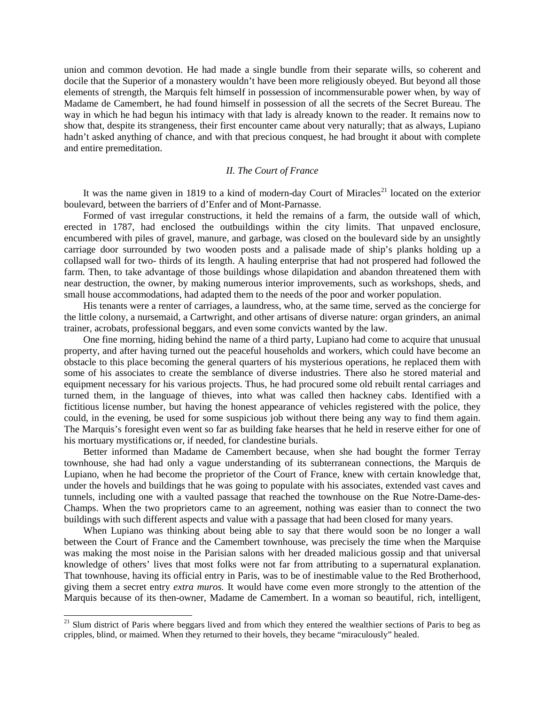union and common devotion. He had made a single bundle from their separate wills, so coherent and docile that the Superior of a monastery wouldn't have been more religiously obeyed. But beyond all those elements of strength, the Marquis felt himself in possession of incommensurable power when, by way of Madame de Camembert, he had found himself in possession of all the secrets of the Secret Bureau. The way in which he had begun his intimacy with that lady is already known to the reader. It remains now to show that, despite its strangeness, their first encounter came about very naturally; that as always, Lupiano hadn't asked anything of chance, and with that precious conquest, he had brought it about with complete and entire premeditation.

## *II. The Court of France*

It was the name given in 1819 to a kind of modern-day Court of Miracles<sup>[21](#page-4-0)</sup> located on the exterior boulevard, between the barriers of d'Enfer and of Mont-Parnasse.

Formed of vast irregular constructions, it held the remains of a farm, the outside wall of which, erected in 1787, had enclosed the outbuildings within the city limits. That unpaved enclosure, encumbered with piles of gravel, manure, and garbage, was closed on the boulevard side by an unsightly carriage door surrounded by two wooden posts and a palisade made of ship's planks holding up a collapsed wall for two- thirds of its length. A hauling enterprise that had not prospered had followed the farm. Then, to take advantage of those buildings whose dilapidation and abandon threatened them with near destruction, the owner, by making numerous interior improvements, such as workshops, sheds, and small house accommodations, had adapted them to the needs of the poor and worker population.

His tenants were a renter of carriages, a laundress, who, at the same time, served as the concierge for the little colony, a nursemaid, a Cartwright, and other artisans of diverse nature: organ grinders, an animal trainer, acrobats, professional beggars, and even some convicts wanted by the law.

One fine morning, hiding behind the name of a third party, Lupiano had come to acquire that unusual property, and after having turned out the peaceful households and workers, which could have become an obstacle to this place becoming the general quarters of his mysterious operations, he replaced them with some of his associates to create the semblance of diverse industries. There also he stored material and equipment necessary for his various projects. Thus, he had procured some old rebuilt rental carriages and turned them, in the language of thieves, into what was called then hackney cabs. Identified with a fictitious license number, but having the honest appearance of vehicles registered with the police, they could, in the evening, be used for some suspicious job without there being any way to find them again. The Marquis's foresight even went so far as building fake hearses that he held in reserve either for one of his mortuary mystifications or, if needed, for clandestine burials.

Better informed than Madame de Camembert because, when she had bought the former Terray townhouse, she had had only a vague understanding of its subterranean connections, the Marquis de Lupiano, when he had become the proprietor of the Court of France, knew with certain knowledge that, under the hovels and buildings that he was going to populate with his associates, extended vast caves and tunnels, including one with a vaulted passage that reached the townhouse on the Rue Notre-Dame-des-Champs. When the two proprietors came to an agreement, nothing was easier than to connect the two buildings with such different aspects and value with a passage that had been closed for many years.

When Lupiano was thinking about being able to say that there would soon be no longer a wall between the Court of France and the Camembert townhouse, was precisely the time when the Marquise was making the most noise in the Parisian salons with her dreaded malicious gossip and that universal knowledge of others' lives that most folks were not far from attributing to a supernatural explanation. That townhouse, having its official entry in Paris, was to be of inestimable value to the Red Brotherhood, giving them a secret entry *extra muros.* It would have come even more strongly to the attention of the Marquis because of its then-owner, Madame de Camembert. In a woman so beautiful, rich, intelligent,

<span id="page-4-0"></span> $21$  Slum district of Paris where beggars lived and from which they entered the wealthier sections of Paris to beg as cripples, blind, or maimed. When they returned to their hovels, they became "miraculously" healed.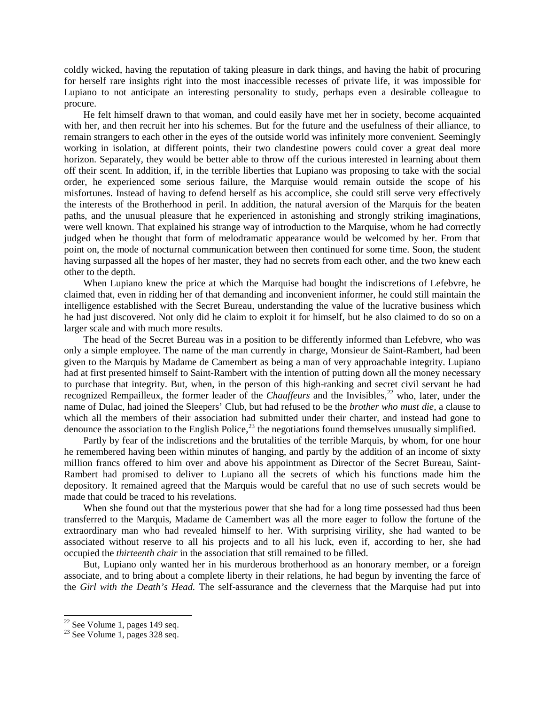coldly wicked, having the reputation of taking pleasure in dark things, and having the habit of procuring for herself rare insights right into the most inaccessible recesses of private life, it was impossible for Lupiano to not anticipate an interesting personality to study, perhaps even a desirable colleague to procure.

He felt himself drawn to that woman, and could easily have met her in society, become acquainted with her, and then recruit her into his schemes. But for the future and the usefulness of their alliance, to remain strangers to each other in the eyes of the outside world was infinitely more convenient. Seemingly working in isolation, at different points, their two clandestine powers could cover a great deal more horizon. Separately, they would be better able to throw off the curious interested in learning about them off their scent. In addition, if, in the terrible liberties that Lupiano was proposing to take with the social order, he experienced some serious failure, the Marquise would remain outside the scope of his misfortunes. Instead of having to defend herself as his accomplice, she could still serve very effectively the interests of the Brotherhood in peril. In addition, the natural aversion of the Marquis for the beaten paths, and the unusual pleasure that he experienced in astonishing and strongly striking imaginations, were well known. That explained his strange way of introduction to the Marquise, whom he had correctly judged when he thought that form of melodramatic appearance would be welcomed by her. From that point on, the mode of nocturnal communication between then continued for some time. Soon, the student having surpassed all the hopes of her master, they had no secrets from each other, and the two knew each other to the depth.

When Lupiano knew the price at which the Marquise had bought the indiscretions of Lefebvre, he claimed that, even in ridding her of that demanding and inconvenient informer, he could still maintain the intelligence established with the Secret Bureau, understanding the value of the lucrative business which he had just discovered. Not only did he claim to exploit it for himself, but he also claimed to do so on a larger scale and with much more results.

The head of the Secret Bureau was in a position to be differently informed than Lefebvre, who was only a simple employee. The name of the man currently in charge, Monsieur de Saint-Rambert, had been given to the Marquis by Madame de Camembert as being a man of very approachable integrity. Lupiano had at first presented himself to Saint-Rambert with the intention of putting down all the money necessary to purchase that integrity. But, when, in the person of this high-ranking and secret civil servant he had recognized Rempailleux, the former leader of the *Chauffeurs* and the Invisibles,<sup>[22](#page-5-0)</sup> who, later, under the name of Dulac, had joined the Sleepers' Club, but had refused to be the *brother who must die,* a clause to which all the members of their association had submitted under their charter, and instead had gone to denounce the association to the English Police, $^{23}$  $^{23}$  $^{23}$  the negotiations found themselves unusually simplified.

Partly by fear of the indiscretions and the brutalities of the terrible Marquis, by whom, for one hour he remembered having been within minutes of hanging, and partly by the addition of an income of sixty million francs offered to him over and above his appointment as Director of the Secret Bureau, Saint-Rambert had promised to deliver to Lupiano all the secrets of which his functions made him the depository. It remained agreed that the Marquis would be careful that no use of such secrets would be made that could be traced to his revelations.

When she found out that the mysterious power that she had for a long time possessed had thus been transferred to the Marquis, Madame de Camembert was all the more eager to follow the fortune of the extraordinary man who had revealed himself to her. With surprising virility, she had wanted to be associated without reserve to all his projects and to all his luck, even if, according to her, she had occupied the *thirteenth chair* in the association that still remained to be filled.

But, Lupiano only wanted her in his murderous brotherhood as an honorary member, or a foreign associate, and to bring about a complete liberty in their relations, he had begun by inventing the farce of the *Girl with the Death's Head.* The self-assurance and the cleverness that the Marquise had put into

<span id="page-5-1"></span><span id="page-5-0"></span> $\frac{22}{23}$  See Volume 1, pages 149 seq.<br> $\frac{23}{23}$  See Volume 1, pages 328 seq.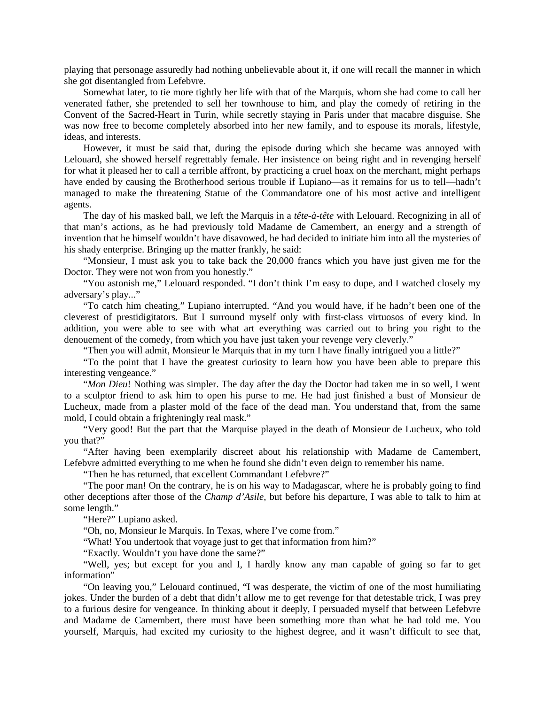playing that personage assuredly had nothing unbelievable about it, if one will recall the manner in which she got disentangled from Lefebvre.

Somewhat later, to tie more tightly her life with that of the Marquis, whom she had come to call her venerated father, she pretended to sell her townhouse to him, and play the comedy of retiring in the Convent of the Sacred-Heart in Turin, while secretly staying in Paris under that macabre disguise. She was now free to become completely absorbed into her new family, and to espouse its morals, lifestyle, ideas, and interests.

However, it must be said that, during the episode during which she became was annoyed with Lelouard, she showed herself regrettably female. Her insistence on being right and in revenging herself for what it pleased her to call a terrible affront, by practicing a cruel hoax on the merchant, might perhaps have ended by causing the Brotherhood serious trouble if Lupiano—as it remains for us to tell—hadn't managed to make the threatening Statue of the Commandatore one of his most active and intelligent agents.

The day of his masked ball, we left the Marquis in a *tête-à-tête* with Lelouard. Recognizing in all of that man's actions, as he had previously told Madame de Camembert, an energy and a strength of invention that he himself wouldn't have disavowed, he had decided to initiate him into all the mysteries of his shady enterprise. Bringing up the matter frankly, he said:

"Monsieur, I must ask you to take back the 20,000 francs which you have just given me for the Doctor. They were not won from you honestly."

"You astonish me," Lelouard responded. "I don't think I'm easy to dupe, and I watched closely my adversary's play..."

"To catch him cheating," Lupiano interrupted. "And you would have, if he hadn't been one of the cleverest of prestidigitators. But I surround myself only with first-class virtuosos of every kind. In addition, you were able to see with what art everything was carried out to bring you right to the denouement of the comedy, from which you have just taken your revenge very cleverly."

"Then you will admit, Monsieur le Marquis that in my turn I have finally intrigued you a little?"

"To the point that I have the greatest curiosity to learn how you have been able to prepare this interesting vengeance."

"*Mon Dieu*! Nothing was simpler. The day after the day the Doctor had taken me in so well, I went to a sculptor friend to ask him to open his purse to me. He had just finished a bust of Monsieur de Lucheux, made from a plaster mold of the face of the dead man. You understand that, from the same mold, I could obtain a frighteningly real mask."

"Very good! But the part that the Marquise played in the death of Monsieur de Lucheux, who told you that?"

"After having been exemplarily discreet about his relationship with Madame de Camembert, Lefebvre admitted everything to me when he found she didn't even deign to remember his name.

"Then he has returned, that excellent Commandant Lefebvre?"

"The poor man! On the contrary, he is on his way to Madagascar, where he is probably going to find other deceptions after those of the *Champ d'Asile*, but before his departure, I was able to talk to him at some length."

"Here?" Lupiano asked.

"Oh, no, Monsieur le Marquis. In Texas, where I've come from."

"What! You undertook that voyage just to get that information from him?"

"Exactly. Wouldn't you have done the same?"

"Well, yes; but except for you and I, I hardly know any man capable of going so far to get information"

"On leaving you," Lelouard continued, "I was desperate, the victim of one of the most humiliating jokes. Under the burden of a debt that didn't allow me to get revenge for that detestable trick, I was prey to a furious desire for vengeance. In thinking about it deeply, I persuaded myself that between Lefebvre and Madame de Camembert, there must have been something more than what he had told me. You yourself, Marquis, had excited my curiosity to the highest degree, and it wasn't difficult to see that,